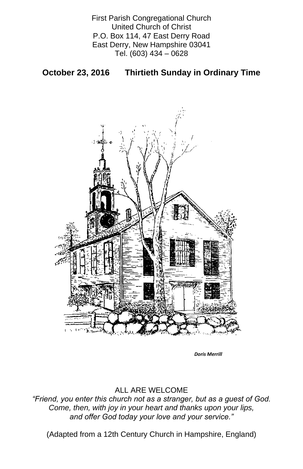First Parish Congregational Church United Church of Christ P.O. Box 114, 47 East Derry Road East Derry, New Hampshire 03041 Tel. (603) 434 – 0628

**October 23, 2016 Thirtieth Sunday in Ordinary Time**



## ALL ARE WELCOME

*"Friend, you enter this church not as a stranger, but as a guest of God. Come, then, with joy in your heart and thanks upon your lips, and offer God today your love and your service."*

(Adapted from a 12th Century Church in Hampshire, England)

*Doris Merrill*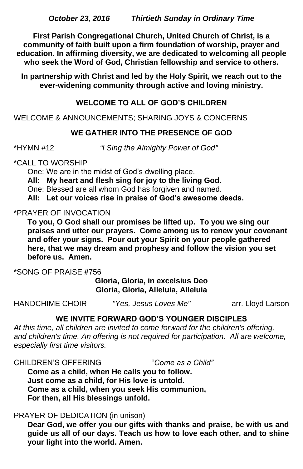**First Parish Congregational Church, United Church of Christ, is a community of faith built upon a firm foundation of worship, prayer and education. In affirming diversity, we are dedicated to welcoming all people who seek the Word of God, Christian fellowship and service to others.**

**In partnership with Christ and led by the Holy Spirit, we reach out to the ever-widening community through active and loving ministry.**

# **WELCOME TO ALL OF GOD'S CHILDREN**

WELCOME & ANNOUNCEMENTS; SHARING JOYS & CONCERNS

## **WE GATHER INTO THE PRESENCE OF GOD**

\*HYMN #12 *"I Sing the Almighty Power of God"*

\*CALL TO WORSHIP

One: We are in the midst of God's dwelling place.

**All: My heart and flesh sing for joy to the living God.**

One: Blessed are all whom God has forgiven and named.

**All: Let our voices rise in praise of God's awesome deeds.**

#### \*PRAYER OF INVOCATION

**To you, O God shall our promises be lifted up. To you we sing our praises and utter our prayers. Come among us to renew your covenant and offer your signs. Pour out your Spirit on your people gathered here, that we may dream and prophesy and follow the vision you set before us. Amen.**

\*SONG OF PRAISE **#**756

**Gloria, Gloria, in excelsius Deo Gloria, Gloria, Alleluia, Alleluia**

HANDCHIME CHOIR *"Yes, Jesus Loves Me"* arr. Lloyd Larson

# **WE INVITE FORWARD GOD'S YOUNGER DISCIPLES**

*At this time, all children are invited to come forward for the children's offering,*  and children's time. An offering is not required for participation. All are welcome, *especially first time visitors.*

CHILDREN'S OFFERING "*Come as a Child"* **Come as a child, when He calls you to follow. Just come as a child, for His love is untold. Come as a child, when you seek His communion, For then, all His blessings unfold.**

#### PRAYER OF DEDICATION (in unison)

**Dear God, we offer you our gifts with thanks and praise, be with us and guide us all of our days. Teach us how to love each other, and to shine your light into the world. Amen.**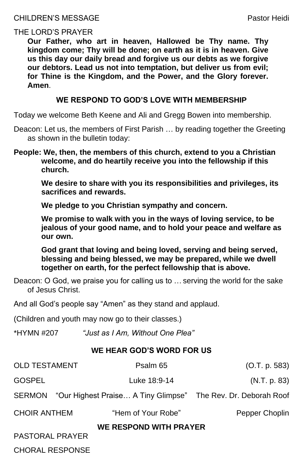# THE LORD'S PRAYER

**Our Father, who art in heaven, Hallowed be Thy name. Thy kingdom come; Thy will be done; on earth as it is in heaven. Give us this day our daily bread and forgive us our debts as we forgive our debtors. Lead us not into temptation, but deliver us from evil; for Thine is the Kingdom, and the Power, and the Glory forever. Amen**.

# **WE RESPOND TO GOD'S LOVE WITH MEMBERSHIP**

Today we welcome Beth Keene and Ali and Gregg Bowen into membership.

- Deacon: Let us, the members of First Parish … by reading together the Greeting as shown in the bulletin today:
- **People: We, then, the members of this church, extend to you a Christian welcome, and do heartily receive you into the fellowship if this church.**

**We desire to share with you its responsibilities and privileges, its sacrifices and rewards.** 

**We pledge to you Christian sympathy and concern.** 

**We promise to walk with you in the ways of loving service, to be jealous of your good name, and to hold your peace and welfare as our own.**

**God grant that loving and being loved, serving and being served, blessing and being blessed, we may be prepared, while we dwell together on earth, for the perfect fellowship that is above.**

Deacon: O God, we praise you for calling us to … serving the world for the sake of Jesus Christ.

And all God's people say "Amen" as they stand and applaud.

(Children and youth may now go to their classes.)

\*HYMN #207 *"Just as I Am, Without One Plea"*

# **WE HEAR GOD'S WORD FOR US**

| <b>OLD TESTAMENT</b>          | Psalm 65                                                      | (O.T. p. 583)  |
|-------------------------------|---------------------------------------------------------------|----------------|
| <b>GOSPEL</b>                 | Luke 18:9-14                                                  | (N.T. p. 83)   |
| <b>SERMON</b>                 | "Our Highest Praise A Tiny Glimpse" The Rev. Dr. Deborah Roof |                |
| <b>CHOIR ANTHEM</b>           | "Hem of Your Robe"                                            | Pepper Choplin |
| <b>WE RESPOND WITH PRAYER</b> |                                                               |                |
| <b>PASTORAL PRAYER</b>        |                                                               |                |
| <b>CHORAL RESPONSE</b>        |                                                               |                |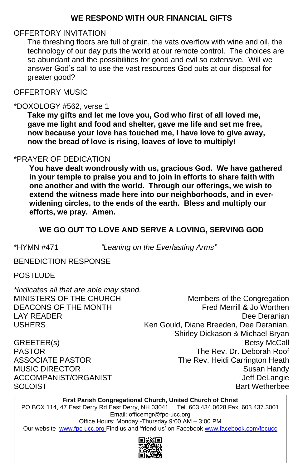# **WE RESPOND WITH OUR FINANCIAL GIFTS**

# OFFERTORY INVITATION

The threshing floors are full of grain, the vats overflow with wine and oil, the technology of our day puts the world at our remote control. The choices are so abundant and the possibilities for good and evil so extensive. Will we answer God's call to use the vast resources God puts at our disposal for greater good?

OFFERTORY MUSIC

#### \*DOXOLOGY #562, verse 1

**Take my gifts and let me love you, God who first of all loved me, gave me light and food and shelter, gave me life and set me free, now because your love has touched me, I have love to give away, now the bread of love is rising, loaves of love to multiply!**

BENEDICTION RESPONSE Ξ

## \*PRAYER OF DEDICATION

**You have dealt wondrously with us, gracious God. We have gathered in your temple to praise you and to join in efforts to share faith with one another and with the world. Through our offerings, we wish to extend the witness made here into our neighborhoods, and in everwidening circles, to the ends of the earth. Bless and multiply our efforts, we pray. Amen.**

# **WE GO OUT TO LOVE AND SERVE A LOVING, SERVING GOD**

\*HYMN #471 *"Leaning on the Everlasting Arms"*

POSTLUDE

*\*Indicates all that are able may stand.*

MINISTERS OF THE CHURCH Members of the Congregation DEACONS OF THE MONTH Fred Merrill & Jo Worthen LAY READER Dee Deranian USHERS Ken Gould, Diane Breeden, Dee Deranian, Shirley Dickason & Michael Bryan GREETER(s) Betsy McCall PASTOR The Rev. Dr. Deborah Roof ASSOCIATE PASTOR The Rev. Heidi Carrington Heath MUSIC DIRECTOR Susan Handy ACCOMPANIST/ORGANIST ACCOMPANIST/ ACCOMPANIST/ THE STATE AND THE STATE ASSESSMENT ASSESSMENT ASSESSMENT ASSESSMENT ASSESSMENT ASSESSMENT AND THE STATE AND THE STATE ASSESSMENT ASSESSMENT ASSESSMENT ASSESSMENT ASSESSMENT AS SOLOIST SOLOIST SOLOIST SUMMER AND THE SOLOIST SUMMER AND THE SOLOIST SUMMER BART WETHER BATT WETHER A SUMMER AND THE SUMMER OF THE SUMMER OF THE SUMMER OF THE SUMMER OF THE SUMMER OF THE SUMMER OF THE SUMMER OF THE SUMMER

#### **First Parish Congregational Church, United Church of Christ** PO BOX 114, 47 East Derry Rd East Derry, NH 03041 Tel. 603.434.0628 Fax. 603.437.3001

Email: officemgr@fpc-ucc.org

Office Hours: Monday -Thursday 9:00 AM – 3:00 PM

Our website [www.fpc-ucc.org](http://www.fpc-ucc.org/) Find us and 'friend us' on Facebook [www.facebook.com/fpcucc](http://www.facebook.com/fpcucc)